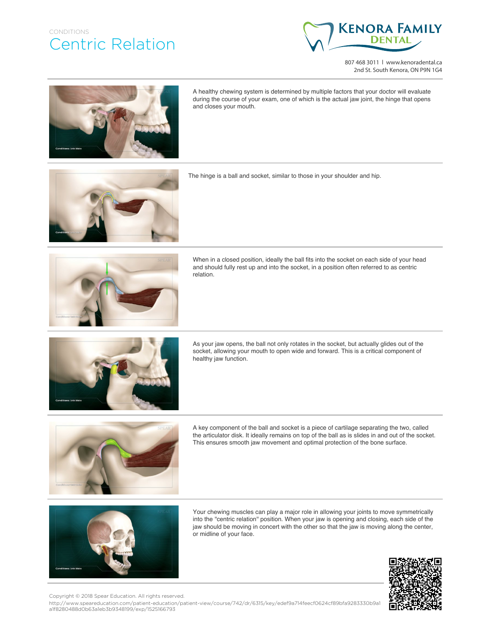## CONDITIONS Centric Relation



807 468 3011 | www.kenoradental.ca 2nd St. South Kenora, ON P9N 1G4



A healthy chewing system is determined by multiple factors that your doctor will evaluate during the course of your exam, one of which is the actual jaw joint, the hinge that opens and closes your mouth.



The hinge is a ball and socket, similar to those in your shoulder and hip.



When in a closed position, ideally the ball fits into the socket on each side of your head and should fully rest up and into the socket, in a position often referred to as centric relation.



As your jaw opens, the ball not only rotates in the socket, but actually glides out of the socket, allowing your mouth to open wide and forward. This is a critical component of healthy jaw function.



A key component of the ball and socket is a piece of cartilage separating the two, called the articulator disk. It ideally remains on top of the ball as is slides in and out of the socket. This ensures smooth jaw movement and optimal protection of the bone surface.



Your chewing muscles can play a major role in allowing your joints to move symmetrically into the ''centric relation'' position. When your jaw is opening and closing, each side of the jaw should be moving in concert with the other so that the jaw is moving along the center, or midline of your face.



Copyright © 2018 Spear Education. All rights reserved.

http://www.speareducation.com/patient-education/patient-view/course/742/dr/6315/key/edef9a714feecf0624cf89bfa9283330b9a1 a1f8280488d0b63a1eb3b9348199/exp/1525166793